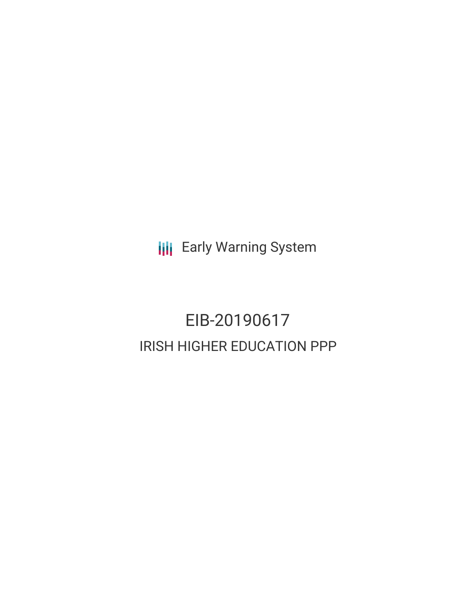**III** Early Warning System

# EIB-20190617 IRISH HIGHER EDUCATION PPP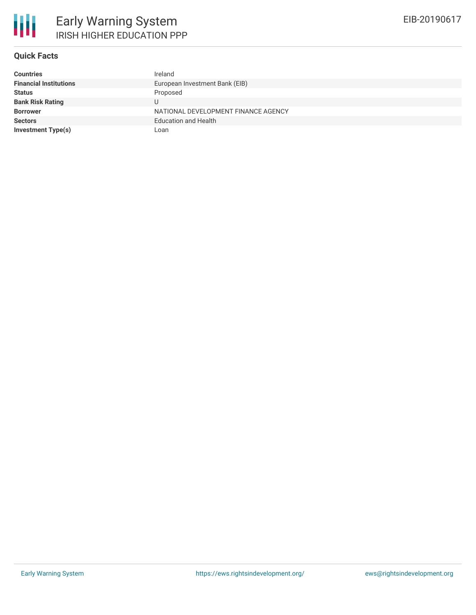

## **Quick Facts**

| <b>Countries</b>              | Ireland                             |
|-------------------------------|-------------------------------------|
| <b>Financial Institutions</b> | European Investment Bank (EIB)      |
| <b>Status</b>                 | Proposed                            |
| <b>Bank Risk Rating</b>       |                                     |
| <b>Borrower</b>               | NATIONAL DEVELOPMENT FINANCE AGENCY |
| <b>Sectors</b>                | <b>Education and Health</b>         |
| Investment Type(s)            | Loan                                |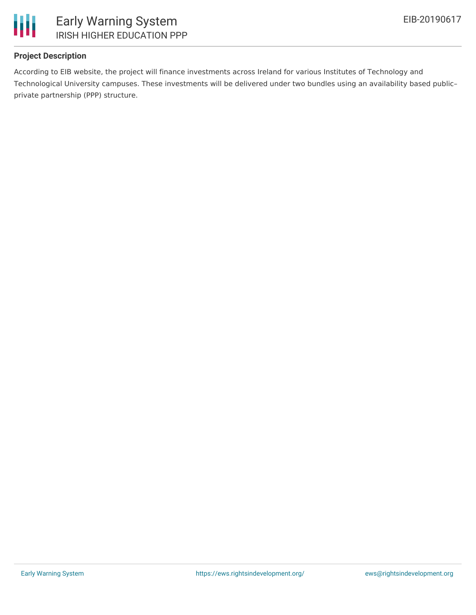

## **Project Description**

According to EIB website, the project will finance investments across Ireland for various Institutes of Technology and Technological University campuses. These investments will be delivered under two bundles using an availability based public– private partnership (PPP) structure.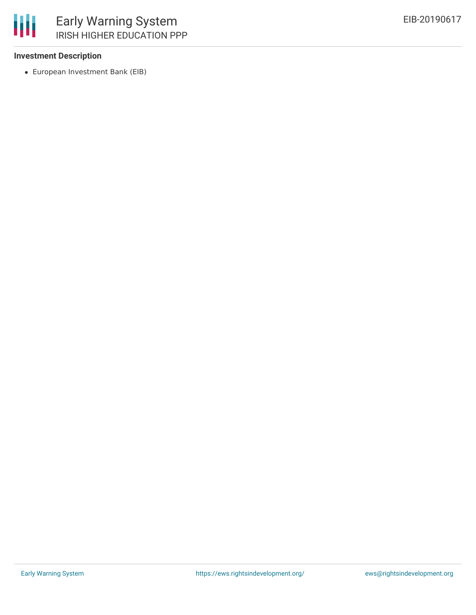

#### **Investment Description**

European Investment Bank (EIB)